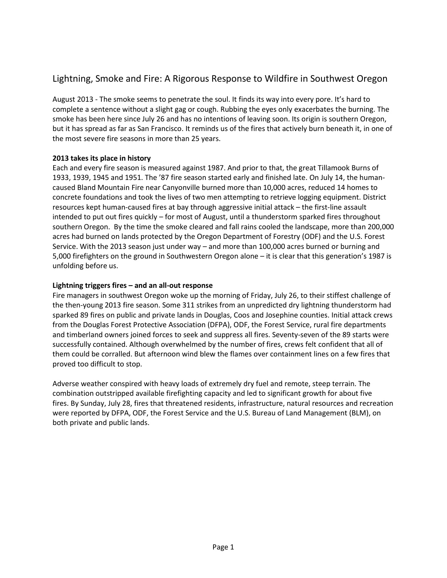# Lightning, Smoke and Fire: A Rigorous Response to Wildfire in Southwest Oregon

August 2013 - The smoke seems to penetrate the soul. It finds its way into every pore. It's hard to complete a sentence without a slight gag or cough. Rubbing the eyes only exacerbates the burning. The smoke has been here since July 26 and has no intentions of leaving soon. Its origin is southern Oregon, but it has spread as far as San Francisco. It reminds us of the fires that actively burn beneath it, in one of the most severe fire seasons in more than 25 years.

# **2013 takes its place in history**

Each and every fire season is measured against 1987. And prior to that, the great Tillamook Burns of 1933, 1939, 1945 and 1951. The '87 fire season started early and finished late. On July 14, the humancaused Bland Mountain Fire near Canyonville burned more than 10,000 acres, reduced 14 homes to concrete foundations and took the lives of two men attempting to retrieve logging equipment. District resources kept human-caused fires at bay through aggressive initial attack – the first-line assault intended to put out fires quickly – for most of August, until a thunderstorm sparked fires throughout southern Oregon. By the time the smoke cleared and fall rains cooled the landscape, more than 200,000 acres had burned on lands protected by the Oregon Department of Forestry (ODF) and the U.S. Forest Service. With the 2013 season just under way – and more than 100,000 acres burned or burning and 5,000 firefighters on the ground in Southwestern Oregon alone – it is clear that this generation's 1987 is unfolding before us.

# **Lightning triggers fires – and an all-out response**

Fire managers in southwest Oregon woke up the morning of Friday, July 26, to their stiffest challenge of the then-young 2013 fire season. Some 311 strikes from an unpredicted dry lightning thunderstorm had sparked 89 fires on public and private lands in Douglas, Coos and Josephine counties. Initial attack crews from the Douglas Forest Protective Association (DFPA), ODF, the Forest Service, rural fire departments and timberland owners joined forces to seek and suppress all fires. Seventy-seven of the 89 starts were successfully contained. Although overwhelmed by the number of fires, crews felt confident that all of them could be corralled. But afternoon wind blew the flames over containment lines on a few fires that proved too difficult to stop.

Adverse weather conspired with heavy loads of extremely dry fuel and remote, steep terrain. The combination outstripped available firefighting capacity and led to significant growth for about five fires. By Sunday, July 28, fires that threatened residents, infrastructure, natural resources and recreation were reported by DFPA, ODF, the Forest Service and the U.S. Bureau of Land Management (BLM), on both private and public lands.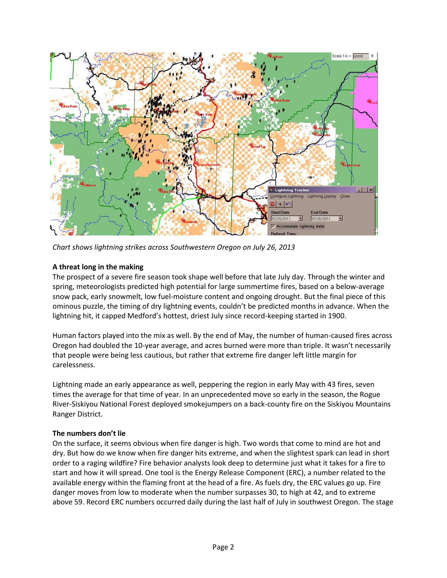

*Chart shows lightning strikes across Southwestern Oregon on July 26, 2013*

# **A threat long in the making**

The prospect of a severe fire season took shape well before that late July day. Through the winter and spring, meteorologists predicted high potential for large summertime fires, based on a below-average snow pack, early snowmelt, low fuel-moisture content and ongoing drought. But the final piece of this ominous puzzle, the timing of dry lightning events, couldn't be predicted months in advance. When the lightning hit, it capped Medford's hottest, driest July since record-keeping started in 1900.

Human factors played into the mix as well. By the end of May, the number of human-caused fires across Oregon had doubled the 10-year average, and acres burned were more than triple. It wasn't necessarily that people were being less cautious, but rather that extreme fire danger left little margin for carelessness.

Lightning made an early appearance as well, peppering the region in early May with 43 fires, seven times the average for that time of year. In an unprecedented move so early in the season, the Rogue River-Siskiyou National Forest deployed smokejumpers on a back-county fire on the Siskiyou Mountains Ranger District.

#### **The numbers don't lie**

On the surface, it seems obvious when fire danger is high. Two words that come to mind are hot and dry. But how do we know when fire danger hits extreme, and when the slightest spark can lead in short order to a raging wildfire? Fire behavior analysts look deep to determine just what it takes for a fire to start and how it will spread. One tool is the Energy Release Component (ERC), a number related to the available energy within the flaming front at the head of a fire. As fuels dry, the ERC values go up. Fire danger moves from low to moderate when the number surpasses 30, to high at 42, and to extreme above 59. Record ERC numbers occurred daily during the last half of July in southwest Oregon. The stage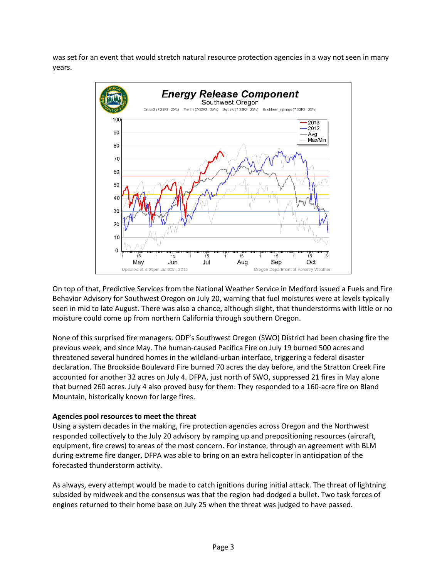was set for an event that would stretch natural resource protection agencies in a way not seen in many years.



On top of that, Predictive Services from the National Weather Service in Medford issued a Fuels and Fire Behavior Advisory for Southwest Oregon on July 20, warning that fuel moistures were at levels typically seen in mid to late August. There was also a chance, although slight, that thunderstorms with little or no moisture could come up from northern California through southern Oregon.

None of this surprised fire managers. ODF's Southwest Oregon (SWO) District had been chasing fire the previous week, and since May. The human-caused Pacifica Fire on July 19 burned 500 acres and threatened several hundred homes in the wildland-urban interface, triggering a federal disaster declaration. The Brookside Boulevard Fire burned 70 acres the day before, and the Stratton Creek Fire accounted for another 32 acres on July 4. DFPA, just north of SWO, suppressed 21 fires in May alone that burned 260 acres. July 4 also proved busy for them: They responded to a 160-acre fire on Bland Mountain, historically known for large fires.

#### **Agencies pool resources to meet the threat**

Using a system decades in the making, fire protection agencies across Oregon and the Northwest responded collectively to the July 20 advisory by ramping up and prepositioning resources (aircraft, equipment, fire crews) to areas of the most concern. For instance, through an agreement with BLM during extreme fire danger, DFPA was able to bring on an extra helicopter in anticipation of the forecasted thunderstorm activity.

As always, every attempt would be made to catch ignitions during initial attack. The threat of lightning subsided by midweek and the consensus was that the region had dodged a bullet. Two task forces of engines returned to their home base on July 25 when the threat was judged to have passed.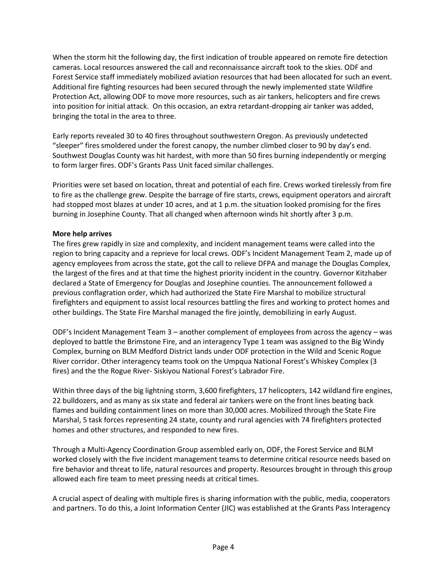When the storm hit the following day, the first indication of trouble appeared on remote fire detection cameras. Local resources answered the call and reconnaissance aircraft took to the skies. ODF and Forest Service staff immediately mobilized aviation resources that had been allocated for such an event. Additional fire fighting resources had been secured through the newly implemented state Wildfire Protection Act, allowing ODF to move more resources, such as air tankers, helicopters and fire crews into position for initial attack. On this occasion, an extra retardant-dropping air tanker was added, bringing the total in the area to three.

Early reports revealed 30 to 40 fires throughout southwestern Oregon. As previously undetected "sleeper" fires smoldered under the forest canopy, the number climbed closer to 90 by day's end. Southwest Douglas County was hit hardest, with more than 50 fires burning independently or merging to form larger fires. ODF's Grants Pass Unit faced similar challenges.

Priorities were set based on location, threat and potential of each fire. Crews worked tirelessly from fire to fire as the challenge grew. Despite the barrage of fire starts, crews, equipment operators and aircraft had stopped most blazes at under 10 acres, and at 1 p.m. the situation looked promising for the fires burning in Josephine County. That all changed when afternoon winds hit shortly after 3 p.m.

# **More help arrives**

The fires grew rapidly in size and complexity, and incident management teams were called into the region to bring capacity and a reprieve for local crews. ODF's Incident Management Team 2, made up of agency employees from across the state, got the call to relieve DFPA and manage the Douglas Complex, the largest of the fires and at that time the highest priority incident in the country. Governor Kitzhaber declared a State of Emergency for Douglas and Josephine counties. The announcement followed a previous conflagration order, which had authorized the State Fire Marshal to mobilize structural firefighters and equipment to assist local resources battling the fires and working to protect homes and other buildings. The State Fire Marshal managed the fire jointly, demobilizing in early August.

ODF's Incident Management Team 3 – another complement of employees from across the agency – was deployed to battle the Brimstone Fire, and an interagency Type 1 team was assigned to the Big Windy Complex, burning on BLM Medford District lands under ODF protection in the Wild and Scenic Rogue River corridor. Other interagency teams took on the Umpqua National Forest's Whiskey Complex (3 fires) and the the Rogue River- Siskiyou National Forest's Labrador Fire.

Within three days of the big lightning storm, 3,600 firefighters, 17 helicopters, 142 wildland fire engines, 22 bulldozers, and as many as six state and federal air tankers were on the front lines beating back flames and building containment lines on more than 30,000 acres. Mobilized through the State Fire Marshal, 5 task forces representing 24 state, county and rural agencies with 74 firefighters protected homes and other structures, and responded to new fires.

Through a Multi-Agency Coordination Group assembled early on, ODF, the Forest Service and BLM worked closely with the five incident management teams to determine critical resource needs based on fire behavior and threat to life, natural resources and property. Resources brought in through this group allowed each fire team to meet pressing needs at critical times.

A crucial aspect of dealing with multiple fires is sharing information with the public, media, cooperators and partners. To do this, a Joint Information Center (JIC) was established at the Grants Pass Interagency